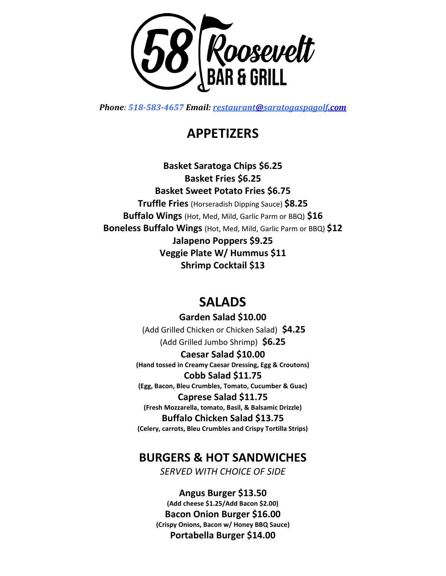

*Phone: 518-583-4657 Email: [restaurant@saratogaspagolf.com](mailto:restaurant@saratogaspagolf.com)*

# **APPETIZERS**

**Basket Saratoga Chips \$6.25 Basket Fries \$6.25 Basket Sweet Potato Fries \$6.75 Truffle Fries** (Horseradish Dipping Sauce) **\$8.25 Buffalo Wings** (Hot, Med, Mild, Garlic Parm or BBQ) **\$16 Boneless Buffalo Wings** (Hot, Med, Mild, Garlic Parm or BBQ) **\$12 Jalapeno Poppers \$9.25 Veggie Plate W/ Hummus \$11 Shrimp Cocktail \$13**

# **SALADS**

**Garden Salad \$10.00** (Add Grilled Chicken or Chicken Salad) **\$4.25** (Add Grilled Jumbo Shrimp) **\$6.25**

**Caesar Salad \$10.00 (Hand tossed in Creamy Caesar Dressing, Egg & Croutons)**

**Cobb Salad \$11.75 (Egg, Bacon, Bleu Crumbles, Tomato, Cucumber & Guac)**

**Caprese Salad \$11.75 (Fresh Mozzarella, tomato, Basil, & Balsamic Drizzle)**

**Buffalo Chicken Salad \$13.75 (Celery, carrots, Bleu Crumbles and Crispy Tortilla Strips)**

## **BURGERS & HOT SANDWICHES**

*SERVED WITH CHOICE OF SIDE*

**Angus Burger \$13.50 (Add cheese \$1.25/Add Bacon \$2.00) Bacon Onion Burger \$16.00 (Crispy Onions, Bacon w/ Honey BBQ Sauce) Portabella Burger \$14.00**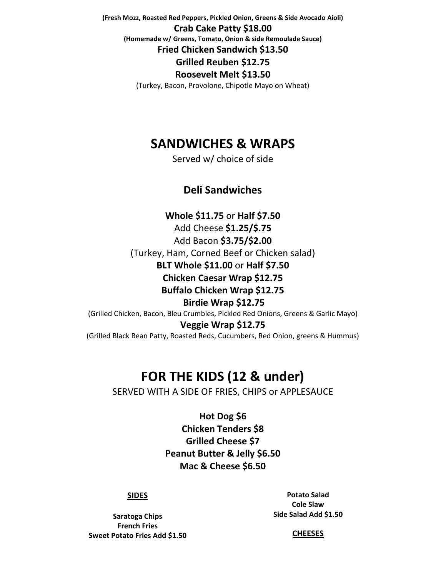**(Fresh Mozz, Roasted Red Peppers, Pickled Onion, Greens & Side Avocado Aioli) Crab Cake Patty \$18.00 (Homemade w/ Greens, Tomato, Onion & side Remoulade Sauce) Fried Chicken Sandwich \$13.50 Grilled Reuben \$12.75 Roosevelt Melt \$13.50** (Turkey, Bacon, Provolone, Chipotle Mayo on Wheat)

**SANDWICHES & WRAPS**

Served w/ choice of side

### **Deli Sandwiches**

**Whole \$11.75** or **Half \$7.50** Add Cheese **\$1.25/\$.75** Add Bacon **\$3.75/\$2.00**  (Turkey, Ham, Corned Beef or Chicken salad) **BLT Whole \$11.00** or **Half \$7.50 Chicken Caesar Wrap \$12.75 Buffalo Chicken Wrap \$12.75 Birdie Wrap \$12.75** (Grilled Chicken, Bacon, Bleu Crumbles, Pickled Red Onions, Greens & Garlic Mayo) **Veggie Wrap \$12.75** (Grilled Black Bean Patty, Roasted Reds, Cucumbers, Red Onion, greens & Hummus)

## **FOR THE KIDS (12 & under)**

SERVED WITH A SIDE OF FRIES, CHIPS or APPLESAUCE

**Hot Dog \$6 Chicken Tenders \$8 Grilled Cheese \$7 Peanut Butter & Jelly \$6.50 Mac & Cheese \$6.50**

### **SIDES**

**Saratoga Chips French Fries Sweet Potato Fries Add \$1.50**

**Potato Salad Cole Slaw Side Salad Add \$1.50**

**CHEESES**